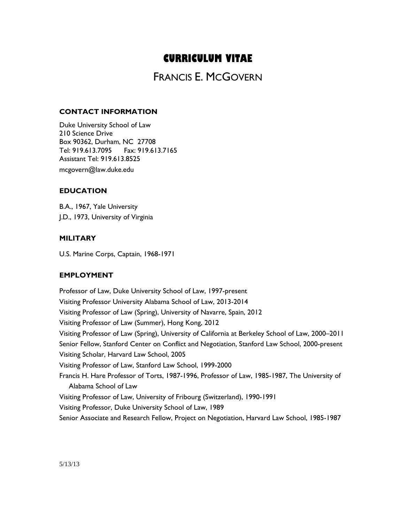# **CURRICULUM VITAE**

# FRANCIS E. MCGOVERN

# **CONTACT INFORMATION**

Duke University School of Law 210 Science Drive Box 90362, Durham, NC 27708 Tel: 919.613.7095 Fax: 919.613.7165 Assistant Tel: 919.613.8525 mcgovern@law.duke.edu

# **EDUCATION**

B.A., 1967, Yale University J.D., 1973, University of Virginia

# **MILITARY**

U.S. Marine Corps, Captain, 1968-1971

#### **EMPLOYMENT**

Professor of Law, Duke University School of Law, 1997-present Visiting Professor University Alabama School of Law, 2013-2014 Visiting Professor of Law (Spring), University of Navarre, Spain, 2012 Visiting Professor of Law (Summer), Hong Kong, 2012 Visiting Professor of Law (Spring), University of California at Berkeley School of Law, 2000–2011 Senior Fellow, Stanford Center on Conflict and Negotiation, Stanford Law School, 2000-present Visiting Scholar, Harvard Law School, 2005 Visiting Professor of Law, Stanford Law School, 1999-2000 Francis H. Hare Professor of Torts, 1987-1996, Professor of Law, 1985-1987, The University of Alabama School of Law Visiting Professor of Law, University of Fribourg (Switzerland), 1990-1991 Visiting Professor, Duke University School of Law, 1989 Senior Associate and Research Fellow, Project on Negotiation, Harvard Law School, 1985-1987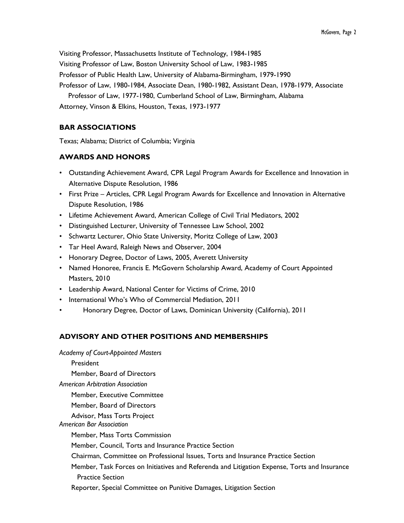Visiting Professor, Massachusetts Institute of Technology, 1984-1985 Visiting Professor of Law, Boston University School of Law, 1983-1985 Professor of Public Health Law, University of Alabama-Birmingham, 1979-1990 Professor of Law, 1980-1984, Associate Dean, 1980-1982, Assistant Dean, 1978-1979, Associate Professor of Law, 1977-1980, Cumberland School of Law, Birmingham, Alabama

Attorney, Vinson & Elkins, Houston, Texas, 1973-1977

# **BAR ASSOCIATIONS**

Texas; Alabama; District of Columbia; Virginia

# **AWARDS AND HONORS**

- Outstanding Achievement Award, CPR Legal Program Awards for Excellence and Innovation in Alternative Dispute Resolution, 1986
- First Prize Articles, CPR Legal Program Awards for Excellence and Innovation in Alternative Dispute Resolution, 1986
- Lifetime Achievement Award, American College of Civil Trial Mediators, 2002
- Distinguished Lecturer, University of Tennessee Law School, 2002
- Schwartz Lecturer, Ohio State University, Moritz College of Law, 2003
- Tar Heel Award, Raleigh News and Observer, 2004
- Honorary Degree, Doctor of Laws, 2005, Averett University
- Named Honoree, Francis E. McGovern Scholarship Award, Academy of Court Appointed Masters, 2010
- Leadership Award, National Center for Victims of Crime, 2010
- International Who's Who of Commercial Mediation, 2011
- Honorary Degree, Doctor of Laws, Dominican University (California), 2011

# **ADVISORY AND OTHER POSITIONS AND MEMBERSHIPS**

*Academy of Court-Appointed Masters* President

Member, Board of Directors

*American Arbitration Association*

Member, Executive Committee

Member, Board of Directors

Advisor, Mass Torts Project *American Bar Association* 

Member, Mass Torts Commission

Member, Council, Torts and Insurance Practice Section

- Chairman, Committee on Professional Issues, Torts and Insurance Practice Section
- Member, Task Forces on Initiatives and Referenda and Litigation Expense, Torts and Insurance Practice Section
- Reporter, Special Committee on Punitive Damages, Litigation Section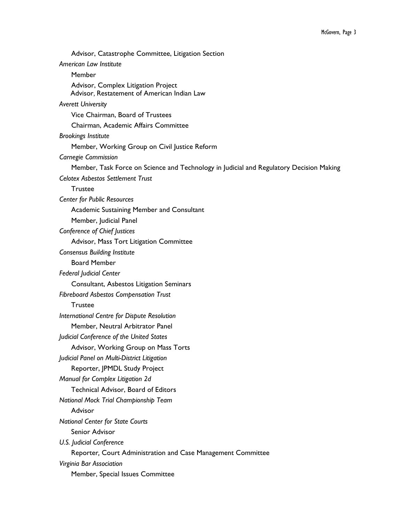Advisor, Catastrophe Committee, Litigation Section *American Law Institute*  Member Advisor, Complex Litigation Project Advisor, Restatement of American Indian Law *Averett University* Vice Chairman, Board of Trustees Chairman, Academic Affairs Committee *Brookings Institute* Member, Working Group on Civil Justice Reform *Carnegie Commission* Member, Task Force on Science and Technology in Judicial and Regulatory Decision Making *Celotex Asbestos Settlement Trust* Trustee *Center for Public Resources*  Academic Sustaining Member and Consultant Member, Judicial Panel *Conference of Chief Justices* Advisor, Mass Tort Litigation Committee *Consensus Building Institute* Board Member *Federal Judicial Center* Consultant, Asbestos Litigation Seminars *Fibreboard Asbestos Compensation Trust* **Trustee** *International Centre for Dispute Resolution* Member, Neutral Arbitrator Panel *Judicial Conference of the United States* Advisor, Working Group on Mass Torts *Judicial Panel on Multi-District Litigation* Reporter, JPMDL Study Project *Manual for Complex Litigation 2d* Technical Advisor, Board of Editors *National Mock Trial Championship Team* Advisor *National Center for State Courts* Senior Advisor *U.S. Judicial Conference* Reporter*,* Court Administration and Case Management Committee *Virginia Bar Association* Member, Special Issues Committee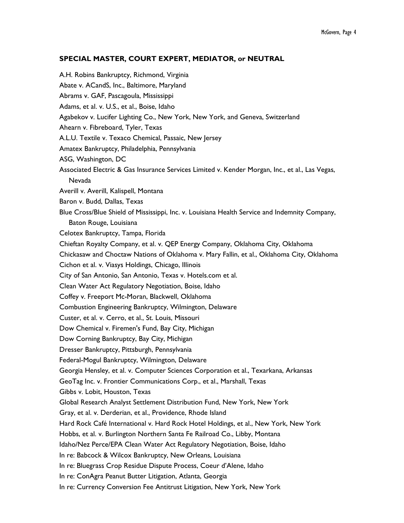#### **SPECIAL MASTER, COURT EXPERT, MEDIATOR, or NEUTRAL**

A.H. Robins Bankruptcy, Richmond, Virginia Abate v. ACandS, Inc., Baltimore, Maryland Abrams v. GAF, Pascagoula, Mississippi Adams, et al. v. U.S., et al., Boise, Idaho Agabekov v. Lucifer Lighting Co., New York, New York, and Geneva, Switzerland Ahearn v. Fibreboard, Tyler, Texas A.L.U. Textile v. Texaco Chemical, Passaic, New Jersey Amatex Bankruptcy, Philadelphia, Pennsylvania ASG, Washington, DC Associated Electric & Gas Insurance Services Limited v. Kender Morgan, Inc., et al., Las Vegas, Nevada Averill v. Averill, Kalispell, Montana Baron v. Budd, Dallas, Texas Blue Cross/Blue Shield of Mississippi, Inc. v. Louisiana Health Service and Indemnity Company, Baton Rouge, Louisiana Celotex Bankruptcy, Tampa, Florida Chieftan Royalty Company, et al. v. QEP Energy Company, Oklahoma City, Oklahoma Chickasaw and Choctaw Nations of Oklahoma v. Mary Fallin, et al., Oklahoma City, Oklahoma Cichon et al. v. Viasys Holdings, Chicago, Illinois City of San Antonio, San Antonio, Texas v. Hotels.com et al. Clean Water Act Regulatory Negotiation, Boise, Idaho Coffey v. Freeport Mc-Moran, Blackwell, Oklahoma Combustion Engineering Bankruptcy, Wilmington, Delaware Custer, et al. v. Cerro, et al., St. Louis, Missouri Dow Chemical v. Firemen's Fund, Bay City, Michigan Dow Corning Bankruptcy, Bay City, Michigan Dresser Bankruptcy, Pittsburgh, Pennsylvania Federal-Mogul Bankruptcy, Wilmington, Delaware Georgia Hensley, et al. v. Computer Sciences Corporation et al., Texarkana, Arkansas GeoTag Inc. v. Frontier Communications Corp., et al., Marshall, Texas Gibbs v. Lobit, Houston, Texas Global Research Analyst Settlement Distribution Fund, New York, New York Gray, et al. v. Derderian, et al., Providence, Rhode Island Hard Rock Café International v. Hard Rock Hotel Holdings, et al., New York, New York Hobbs, et al. v. Burlington Northern Santa Fe Railroad Co., Libby, Montana Idaho/Nez Perce/EPA Clean Water Act Regulatory Negotiation, Boise, Idaho In re: Babcock & Wilcox Bankruptcy, New Orleans, Louisiana In re: Bluegrass Crop Residue Dispute Process, Coeur d'Alene, Idaho In re: ConAgra Peanut Butter Litigation, Atlanta, Georgia In re: Currency Conversion Fee Antitrust Litigation, New York, New York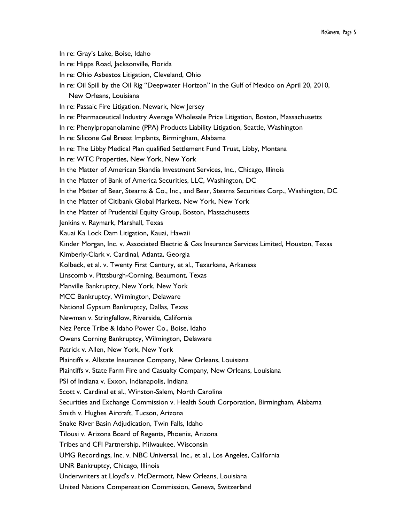In re: Gray's Lake, Boise, Idaho In re: Hipps Road, Jacksonville, Florida In re: Ohio Asbestos Litigation, Cleveland, Ohio In re: Oil Spill by the Oil Rig "Deepwater Horizon" in the Gulf of Mexico on April 20, 2010, New Orleans, Louisiana In re: Passaic Fire Litigation, Newark, New Jersey In re: Pharmaceutical Industry Average Wholesale Price Litigation, Boston, Massachusetts In re: Phenylpropanolamine (PPA) Products Liability Litigation, Seattle, Washington In re: Silicone Gel Breast Implants, Birmingham, Alabama In re: The Libby Medical Plan qualified Settlement Fund Trust, Libby, Montana In re: WTC Properties, New York, New York In the Matter of American Skandia Investment Services, Inc., Chicago, Illinois In the Matter of Bank of America Securities, LLC, Washington, DC In the Matter of Bear, Stearns & Co., Inc., and Bear, Stearns Securities Corp., Washington, DC In the Matter of Citibank Global Markets, New York, New York In the Matter of Prudential Equity Group, Boston, Massachusetts Jenkins v. Raymark, Marshall, Texas Kauai Ka Lock Dam Litigation, Kauai, Hawaii Kinder Morgan, Inc. v. Associated Electric & Gas Insurance Services Limited, Houston, Texas Kimberly-Clark v. Cardinal, Atlanta, Georgia Kolbeck, et al. v. Twenty First Century, et al., Texarkana, Arkansas Linscomb v. Pittsburgh-Corning, Beaumont, Texas Manville Bankruptcy, New York, New York MCC Bankruptcy, Wilmington, Delaware National Gypsum Bankruptcy, Dallas, Texas Newman v. Stringfellow, Riverside, California Nez Perce Tribe & Idaho Power Co., Boise, Idaho Owens Corning Bankruptcy, Wilmington, Delaware Patrick v. Allen, New York, New York Plaintiffs v. Allstate Insurance Company, New Orleans, Louisiana Plaintiffs v. State Farm Fire and Casualty Company, New Orleans, Louisiana PSI of Indiana v. Exxon, Indianapolis, Indiana Scott v. Cardinal et al., Winston-Salem, North Carolina Securities and Exchange Commission v. Health South Corporation, Birmingham, Alabama Smith v. Hughes Aircraft, Tucson, Arizona Snake River Basin Adjudication, Twin Falls, Idaho Tilousi v. Arizona Board of Regents, Phoenix, Arizona Tribes and CFI Partnership, Milwaukee, Wisconsin UMG Recordings, Inc. v. NBC Universal, Inc., et al., Los Angeles, California UNR Bankruptcy, Chicago, Illinois Underwriters at Lloyd's v. McDermott, New Orleans, Louisiana United Nations Compensation Commission, Geneva, Switzerland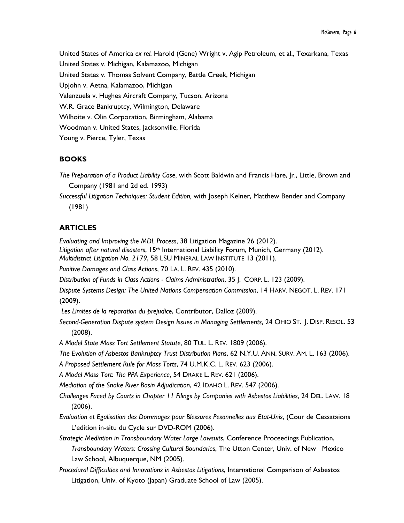United States of America *ex rel.* Harold (Gene) Wright v. Agip Petroleum, et al., Texarkana, Texas United States v. Michigan, Kalamazoo, Michigan United States v. Thomas Solvent Company, Battle Creek, Michigan Upjohn v. Aetna, Kalamazoo, Michigan Valenzuela v. Hughes Aircraft Company, Tucson, Arizona W.R. Grace Bankruptcy, Wilmington, Delaware Wilhoite v. Olin Corporation, Birmingham, Alabama Woodman v. United States, Jacksonville, Florida Young v. Pierce, Tyler, Texas

# **BOOKS**

- *The Preparation of a Product Liability Case*, with Scott Baldwin and Francis Hare, Jr., Little, Brown and Company (1981 and 2d ed. 1993)
- *Successful Litigation Techniques: Student Edition,* with Joseph Kelner, Matthew Bender and Company (1981)

# **ARTICLES**

*Evaluating and Improving the MDL Process*, 38 Litigation Magazine 26 (2012). Litigation after natural disasters, 15<sup>th</sup> International Liability Forum, Munich, Germany (2012). *Multidistrict Litigation No. 2179*, 58 LSU MINERAL LAW INSTITUTE 13 (2011).

*Punitive Damages and Class Actions*, 70 LA. L. REV. 435 (2010).

*Distribution of Funds in Class Actions - Claims Administration*, 35 J. CORP. L. 123 (2009).

*Dispute Systems Design: The United Nations Compensation Commission*, 14 HARV. NEGOT. L. REV. 171 (2009).

*Les Limites de la reparation du prejudice*, Contributor, Dalloz (2009).

*Second-Generation Dispute system Design Issues in Managing Settlements*, 24 OHIO ST. J. DISP. RESOL. 53 (2008).

*A Model State Mass Tort Settlement Statute*, 80 TUL. L. REV. 1809 (2006).

*The Evolution of Asbestos Bankruptcy Trust Distribution Plans*, 62 N.Y.U. ANN. SURV. AM. L. 163 (2006).

*A Proposed Settlement Rule for Mass Torts*, 74 U.M.K.C. L. REV. 623 (2006).

*A Model Mass Tort: The PPA Experience*, 54 DRAKE L. REV. 621 (2006).

*Mediation of the Snake River Basin Adjudication*, 42 IDAHO L. REV. 547 (2006).

*Challenges Faced by Courts in Chapter 11 Filings by Companies with Asbestos Liabilities*, 24 DEL. LAW. 18 (2006).

*Evaluation et Egalisation des Dommages pour Blessures Pesonnelles aux Etat-Unis*, (Cour de Cessataions L'edition in-situ du Cycle sur DVD-ROM (2006).

- *Strategic Mediation in Transboundary Water Large Lawsuits*, Conference Proceedings Publication, *Transboundary Waters: Crossing Cultural Boundaries*, The Utton Center, Univ. of New Mexico Law School, Albuquerque, NM (2005).
- *Procedural Difficulties and Innovations in Asbestos Litigations*, International Comparison of Asbestos Litigation, Univ. of Kyoto (Japan) Graduate School of Law (2005).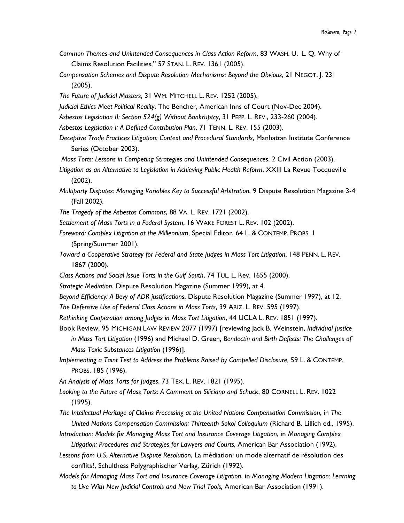- *Common Themes and Unintended Consequences in Class Action Reform*, 83 WASH. U. L. Q. Why of Claims Resolution Facilities," 57 STAN. L. REV. 1361 (2005).
- *Compensation Schemes and Dispute Resolution Mechanisms: Beyond the Obvious*, 21 NEGOT. J. 231 (2005).
- *The Future of Judicial Masters*, 31 WM. MITCHELL L. REV. 1252 (2005).
- *Judicial Ethics Meet Political Reality*, The Bencher, American Inns of Court (Nov-Dec 2004).
- *Asbestos Legislation II: Section 524(g) Without Bankruptcy*, 31 PEPP. L. REV., 233-260 (2004).
- *Asbestos Legislation I: A Defined Contribution Plan*, 71 TENN. L. REV. 155 (2003).
- *Deceptive Trade Practices Litigation: Context and Procedural Standards*, Manhattan Institute Conference Series (October 2003).
- *Mass Torts: Lessons in Competing Strategies and Unintended Consequences*, 2 Civil Action (2003).
- *Litigation as an Alternative to Legislation in Achieving Public Health Reform*, XXIII La Revue Tocqueville (2002).
- *Multiparty Disputes: Managing Variables Key to Successful Arbitration*, 9 Dispute Resolution Magazine 3-4 (Fall 2002).
- *The Tragedy of the Asbestos Commons*, 88 VA. L. REV. 1721 (2002).
- *Settlement of Mass Torts in a Federal System*, 16 WAKE FOREST L. REV. 102 (2002).
- *Foreword: Complex Litigation at the Millennium*, Special Editor, 64 L. & CONTEMP. PROBS. 1 (Spring/Summer 2001).
- *Toward a Cooperative Strategy for Federal and State Judges in Mass Tort Litigation*, 148 PENN. L. REV. 1867 (2000).
- *Class Actions and Social Issue Torts in the Gulf South*, 74 TUL. L. Rev. 1655 (2000).
- *Strategic Mediation*, Dispute Resolution Magazine (Summer 1999), at 4.
- *Beyond Efficiency: A Bevy of ADR justifications*, Dispute Resolution Magazine (Summer 1997), at 12.
- *The Defensive Use of Federal Class Actions in Mass Torts*, 39 ARIZ. L. REV. 595 (1997).
- *Rethinking Cooperation among Judges in Mass Tort Litigation*, 44 UCLA L. REV. 1851 (1997).
- Book Review, 95 MICHIGAN LAW REVIEW 2077 (1997) [reviewing Jack B. Weinstein, *Individual Justice in Mass Tort Litigation* (1996) and Michael D. Green, *Bendectin and Birth Defects: The Challenges of Mass Toxic Substances Litigation* (1996)].
- *Implementing a Taint Test to Address the Problems Raised by Compelled Disclosure,* 59 L. & CONTEMP. PROBS. 185 (1996).
- *An Analysis of Mass Torts for Judges*, 73 TEX. L. REV. 1821 (1995).
- *Looking to the Future of Mass Torts: A Comment on Siliciano and Schuck*, 80 CORNELL L. REV. 1022 (1995).
- *The Intellectual Heritage of Claims Processing at the United Nations Compensation Commission*, in *The United Nations Compensation Commission: Thirteenth Sokol Colloquium* (Richard B. Lillich ed., 1995).
- *Introduction: Models for Managing Mass Tort and Insurance Coverage Litigation*, in *Managing Complex Litigation: Procedures and Strategies for Lawyers and Courts,* American Bar Association (1992).
- *Lessons from U.S. Alternative Dispute Resolution*, La médiation: un mode alternatif de résolution des conflits?, Schulthess Polygraphischer Verlag, Zürich (1992).
- *Models for Managing Mass Tort and Insurance Coverage Litigation*, in *Managing Modern Litigation: Learning to Live With New Judicial Controls and New Trial Tools,* American Bar Association (1991).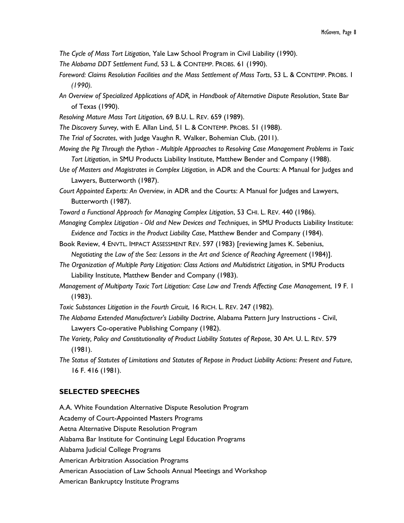- *The Cycle of Mass Tort Litigation*, Yale Law School Program in Civil Liability (1990).
- *The Alabama DDT Settlement Fund*, 53 L. & CONTEMP. PROBS. 61 (1990).
- *Foreword: Claims Resolution Facilities and the Mass Settlement of Mass Torts*, 53 L. & CONTEMP. PROBS. 1 *(1990).*
- *An Overview of Specialized Applications of ADR,* in *Handbook of Alternative Dispute Resolution*, State Bar of Texas (1990).
- *Resolving Mature Mass Tort Litigation*, 69 B.U. L. REV. 659 (1989).
- *The Discovery Survey*, with E. Allan Lind, 51 L. & CONTEMP. PROBS. 51 (1988).
- *The Trial of Socrates*, with Judge Vaughn R. Walker, Bohemian Club, (2011).
- *Moving the Pig Through the Python - Multiple Approaches to Resolving Case Management Problems in Toxic Tort Litigation*, in SMU Products Liability Institute, Matthew Bender and Company (1988).
- *Use of Masters and Magistrates in Complex Litigation*, in ADR and the Courts: A Manual for Judges and Lawyers, Butterworth (1987).
- *Court Appointed Experts: An Overview*, in ADR and the Courts: A Manual for Judges and Lawyers, Butterworth (1987).
- *Toward a Functional Approach for Managing Complex Litigation*, 53 CHI. L. REV. 440 (1986).
- *Managing Complex Litigation - Old and New Devices and Techniques*, in SMU Products Liability Institute: *Evidence and Tactics in the Product Liability Case*, Matthew Bender and Company (1984).
- Book Review, 4 ENVTL. IMPACT ASSESSMENT REV. 597 (1983) [reviewing James K. Sebenius, *Negotiating the Law of the Sea: Lessons in the Art and Science of Reaching Agreement* (1984)].
- *The Organization of Multiple Party Litigation: Class Actions and Multidistrict Litigation*, in SMU Products Liability Institute, Matthew Bender and Company (1983).
- *Management of Multiparty Toxic Tort Litigation: Case Law and Trends Affecting Case Management*, 19 F. 1 (1983).
- *Toxic Substances Litigation in the Fourth Circuit*, 16 RICH. L. REV. 247 (1982).
- *The Alabama Extended Manufacturer's Liability Doctrine*, Alabama Pattern Jury Instructions Civil, Lawyers Co-operative Publishing Company (1982).
- *The Variety, Policy and Constitutionality of Product Liability Statutes of Repose*, 30 AM. U. L. REV. 579 (1981).
- *The Status of Statutes of Limitations and Statutes of Repose in Product Liability Actions: Present and Future*, 16 F. 416 (1981).

#### **SELECTED SPEECHES**

A.A. White Foundation Alternative Dispute Resolution Program Academy of Court-Appointed Masters Programs Aetna Alternative Dispute Resolution Program

Alabama Bar Institute for Continuing Legal Education Programs

- Alabama Judicial College Programs
- American Arbitration Association Programs
- American Association of Law Schools Annual Meetings and Workshop
- American Bankruptcy Institute Programs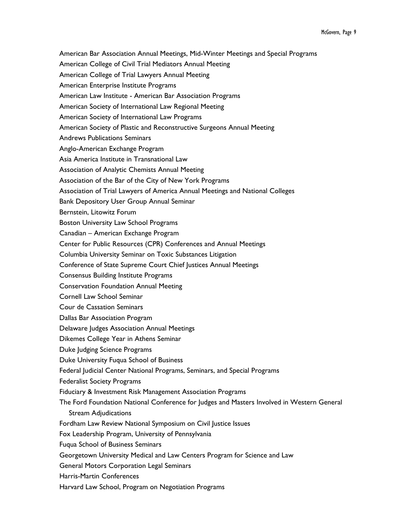American Bar Association Annual Meetings, Mid-Winter Meetings and Special Programs American College of Civil Trial Mediators Annual Meeting American College of Trial Lawyers Annual Meeting American Enterprise Institute Programs American Law Institute - American Bar Association Programs American Society of International Law Regional Meeting American Society of International Law Programs American Society of Plastic and Reconstructive Surgeons Annual Meeting Andrews Publications Seminars Anglo-American Exchange Program Asia America Institute in Transnational Law Association of Analytic Chemists Annual Meeting Association of the Bar of the City of New York Programs Association of Trial Lawyers of America Annual Meetings and National Colleges Bank Depository User Group Annual Seminar Bernstein, Litowitz Forum Boston University Law School Programs Canadian – American Exchange Program Center for Public Resources (CPR) Conferences and Annual Meetings Columbia University Seminar on Toxic Substances Litigation Conference of State Supreme Court Chief Justices Annual Meetings Consensus Building Institute Programs Conservation Foundation Annual Meeting Cornell Law School Seminar Cour de Cassation Seminars Dallas Bar Association Program Delaware Judges Association Annual Meetings Dikemes College Year in Athens Seminar Duke Judging Science Programs Duke University Fuqua School of Business Federal Judicial Center National Programs, Seminars, and Special Programs Federalist Society Programs Fiduciary & Investment Risk Management Association Programs The Ford Foundation National Conference for Judges and Masters Involved in Western General Stream Adjudications Fordham Law Review National Symposium on Civil Justice Issues Fox Leadership Program, University of Pennsylvania Fuqua School of Business Seminars Georgetown University Medical and Law Centers Program for Science and Law General Motors Corporation Legal Seminars Harris-Martin Conferences Harvard Law School, Program on Negotiation Programs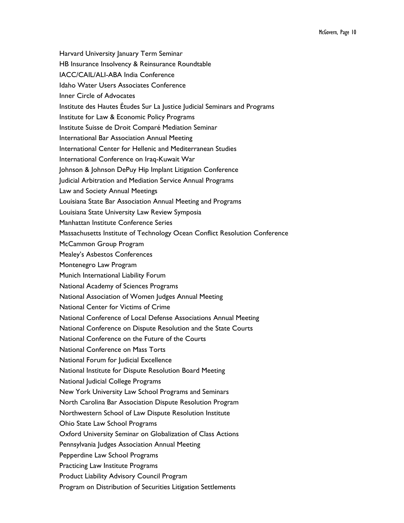Harvard University January Term Seminar HB Insurance Insolvency & Reinsurance Roundtable IACC/CAIL/ALI-ABA India Conference Idaho Water Users Associates Conference Inner Circle of Advocates Institute des Hautes Études Sur La Justice Judicial Seminars and Programs Institute for Law & Economic Policy Programs Institute Suisse de Droit Comparé Mediation Seminar International Bar Association Annual Meeting International Center for Hellenic and Mediterranean Studies International Conference on Iraq-Kuwait War Johnson & Johnson DePuy Hip Implant Litigation Conference Judicial Arbitration and Mediation Service Annual Programs Law and Society Annual Meetings Louisiana State Bar Association Annual Meeting and Programs Louisiana State University Law Review Symposia Manhattan Institute Conference Series Massachusetts Institute of Technology Ocean Conflict Resolution Conference McCammon Group Program Mealey's Asbestos Conferences Montenegro Law Program Munich International Liability Forum National Academy of Sciences Programs National Association of Women Judges Annual Meeting National Center for Victims of Crime National Conference of Local Defense Associations Annual Meeting National Conference on Dispute Resolution and the State Courts National Conference on the Future of the Courts National Conference on Mass Torts National Forum for Judicial Excellence National Institute for Dispute Resolution Board Meeting National Judicial College Programs New York University Law School Programs and Seminars North Carolina Bar Association Dispute Resolution Program Northwestern School of Law Dispute Resolution Institute Ohio State Law School Programs Oxford University Seminar on Globalization of Class Actions Pennsylvania Judges Association Annual Meeting Pepperdine Law School Programs Practicing Law Institute Programs Product Liability Advisory Council Program Program on Distribution of Securities Litigation Settlements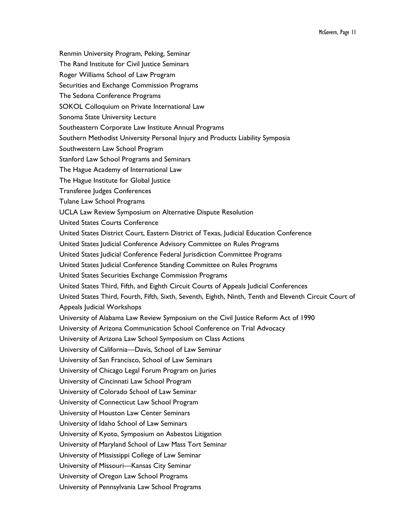Renmin University Program, Peking, Seminar The Rand Institute for Civil Justice Seminars Roger Williams School of Law Program Securities and Exchange Commission Programs The Sedona Conference Programs SOKOL Colloquium on Private International Law Sonoma State University Lecture Southeastern Corporate Law Institute Annual Programs Southern Methodist University Personal Injury and Products Liability Symposia Southwestern Law School Program Stanford Law School Programs and Seminars The Hague Academy of International Law The Hague Institute for Global Justice Transferee Judges Conferences Tulane Law School Programs UCLA Law Review Symposium on Alternative Dispute Resolution United States Courts Conference United States District Court, Eastern District of Texas, Judicial Education Conference United States Judicial Conference Advisory Committee on Rules Programs United States Judicial Conference Federal Jurisdiction Committee Programs United States Judicial Conference Standing Committee on Rules Programs United States Securities Exchange Commission Programs United States Third, Fifth, and Eighth Circuit Courts of Appeals Judicial Conferences United States Third, Fourth, Fifth, Sixth, Seventh, Eighth, Ninth, Tenth and Eleventh Circuit Court of Appeals Judicial Workshops University of Alabama Law Review Symposium on the Civil Justice Reform Act of 1990 University of Arizona Communication School Conference on Trial Advocacy University of Arizona Law School Symposium on Class Actions University of California—Davis, School of Law Seminar University of San Francisco, School of Law Seminars University of Chicago Legal Forum Program on Juries University of Cincinnati Law School Program University of Colorado School of Law Seminar University of Connecticut Law School Program University of Houston Law Center Seminars University of Idaho School of Law Seminars University of Kyoto, Symposium on Asbestos Litigation University of Maryland School of Law Mass Tort Seminar University of Mississippi College of Law Seminar University of Missouri—Kansas City Seminar University of Oregon Law School Programs University of Pennsylvania Law School Programs